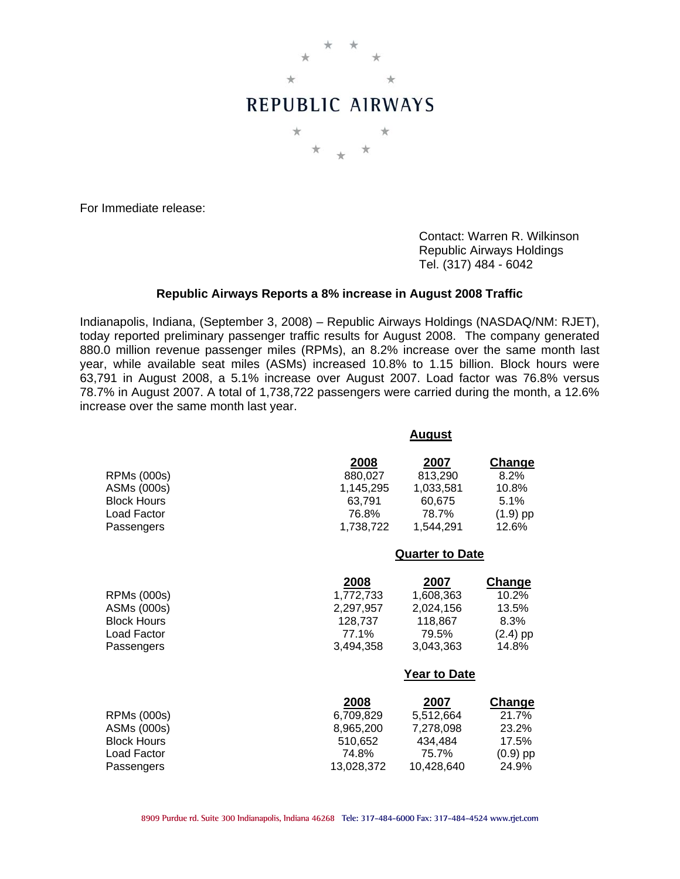

For Immediate release:

 Contact: Warren R. Wilkinson Republic Airways Holdings Tel. (317) 484 - 6042

## **Republic Airways Reports a 8% increase in August 2008 Traffic**

Indianapolis, Indiana, (September 3, 2008) – Republic Airways Holdings (NASDAQ/NM: RJET), today reported preliminary passenger traffic results for August 2008. The company generated 880.0 million revenue passenger miles (RPMs), an 8.2% increase over the same month last year, while available seat miles (ASMs) increased 10.8% to 1.15 billion. Block hours were 63,791 in August 2008, a 5.1% increase over August 2007. Load factor was 76.8% versus 78.7% in August 2007. A total of 1,738,722 passengers were carried during the month, a 12.6% increase over the same month last year.

**August**

|                                                                                      |                                                                  | Auyust                                                           |                                                                |  |
|--------------------------------------------------------------------------------------|------------------------------------------------------------------|------------------------------------------------------------------|----------------------------------------------------------------|--|
| <b>RPMs (000s)</b><br>ASMs (000s)<br><b>Block Hours</b><br>Load Factor<br>Passengers | 2008<br>880,027<br>1,145,295<br>63,791<br>76.8%<br>1,738,722     | 2007<br>813,290<br>1,033,581<br>60,675<br>78.7%<br>1,544,291     | <u>Change</u><br>8.2%<br>10.8%<br>5.1%<br>$(1.9)$ pp<br>12.6%  |  |
|                                                                                      |                                                                  | <b>Quarter to Date</b>                                           |                                                                |  |
| <b>RPMs (000s)</b><br>ASMs (000s)<br><b>Block Hours</b><br>Load Factor<br>Passengers | 2008<br>1,772,733<br>2,297,957<br>128,737<br>77.1%<br>3,494,358  | 2007<br>1,608,363<br>2,024,156<br>118,867<br>79.5%<br>3,043,363  | <b>Change</b><br>10.2%<br>13.5%<br>8.3%<br>$(2.4)$ pp<br>14.8% |  |
|                                                                                      |                                                                  | <b>Year to Date</b>                                              |                                                                |  |
| <b>RPMs (000s)</b><br>ASMs (000s)<br><b>Block Hours</b><br>Load Factor<br>Passengers | 2008<br>6,709,829<br>8,965,200<br>510,652<br>74.8%<br>13,028,372 | 2007<br>5,512,664<br>7,278,098<br>434,484<br>75.7%<br>10,428,640 | Change<br>21.7%<br>23.2%<br>17.5%<br>$(0.9)$ pp<br>24.9%       |  |